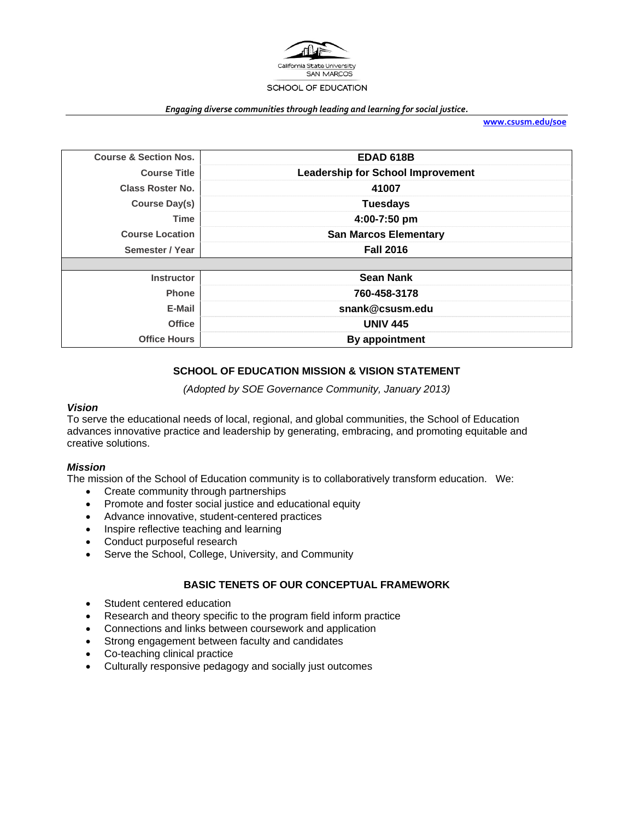

#### *Engaging diverse communities through leading and learning for social justice.*

**www.csusm.edu/soe**

| <b>Course &amp; Section Nos.</b> | <b>EDAD 618B</b>                         |
|----------------------------------|------------------------------------------|
| <b>Course Title</b>              | <b>Leadership for School Improvement</b> |
| <b>Class Roster No.</b>          | 41007                                    |
| Course Day(s)                    | <b>Tuesdays</b>                          |
| Time                             | 4:00-7:50 pm                             |
| <b>Course Location</b>           | <b>San Marcos Elementary</b>             |
| Semester / Year                  | <b>Fall 2016</b>                         |
|                                  |                                          |
| <b>Instructor</b>                | <b>Sean Nank</b>                         |
| <b>Phone</b>                     | 760-458-3178                             |
| E-Mail                           | snank@csusm.edu                          |
| <b>Office</b>                    | <b>UNIV 445</b>                          |
| <b>Office Hours</b>              | By appointment                           |

## **SCHOOL OF EDUCATION MISSION & VISION STATEMENT**

*(Adopted by SOE Governance Community, January 2013)* 

#### *Vision*

To serve the educational needs of local, regional, and global communities, the School of Education advances innovative practice and leadership by generating, embracing, and promoting equitable and creative solutions.

### *Mission*

The mission of the School of Education community is to collaboratively transform education. We:

- Create community through partnerships
- Promote and foster social justice and educational equity
- Advance innovative, student-centered practices
- Inspire reflective teaching and learning
- Conduct purposeful research
- Serve the School, College, University, and Community

### **BASIC TENETS OF OUR CONCEPTUAL FRAMEWORK**

- Student centered education
- Research and theory specific to the program field inform practice
- Connections and links between coursework and application
- Strong engagement between faculty and candidates
- Co-teaching clinical practice
- Culturally responsive pedagogy and socially just outcomes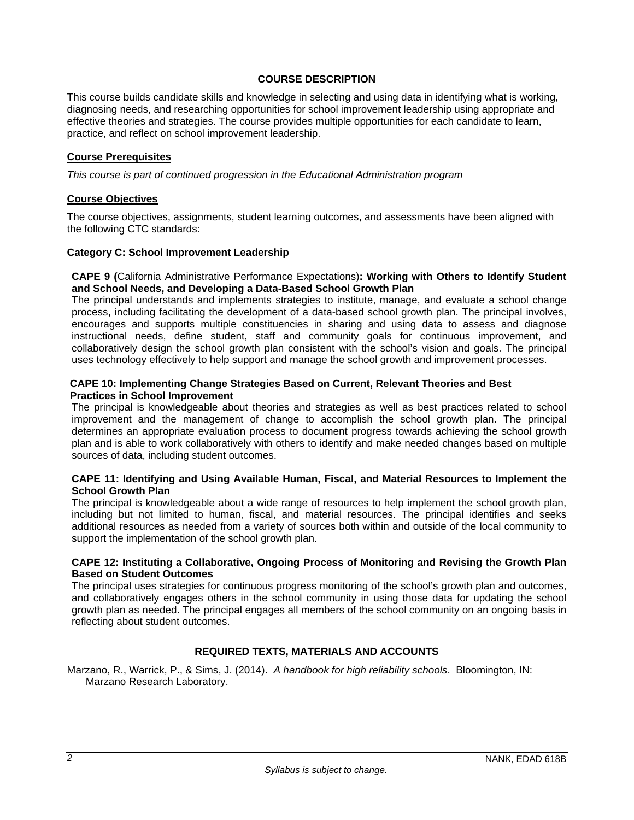### **COURSE DESCRIPTION**

This course builds candidate skills and knowledge in selecting and using data in identifying what is working, diagnosing needs, and researching opportunities for school improvement leadership using appropriate and effective theories and strategies. The course provides multiple opportunities for each candidate to learn, practice, and reflect on school improvement leadership.

### **Course Prerequisites**

*This course is part of continued progression in the Educational Administration program*

### **Course Objectives**

The course objectives, assignments, student learning outcomes, and assessments have been aligned with the following CTC standards:

### **Category C: School Improvement Leadership**

### **CAPE 9 (**California Administrative Performance Expectations)**: Working with Others to Identify Student and School Needs, and Developing a Data-Based School Growth Plan**

The principal understands and implements strategies to institute, manage, and evaluate a school change process, including facilitating the development of a data-based school growth plan. The principal involves, encourages and supports multiple constituencies in sharing and using data to assess and diagnose instructional needs, define student, staff and community goals for continuous improvement, and collaboratively design the school growth plan consistent with the school's vision and goals. The principal uses technology effectively to help support and manage the school growth and improvement processes.

### **CAPE 10: Implementing Change Strategies Based on Current, Relevant Theories and Best Practices in School Improvement**

The principal is knowledgeable about theories and strategies as well as best practices related to school improvement and the management of change to accomplish the school growth plan. The principal determines an appropriate evaluation process to document progress towards achieving the school growth plan and is able to work collaboratively with others to identify and make needed changes based on multiple sources of data, including student outcomes.

### **CAPE 11: Identifying and Using Available Human, Fiscal, and Material Resources to Implement the School Growth Plan**

The principal is knowledgeable about a wide range of resources to help implement the school growth plan, including but not limited to human, fiscal, and material resources. The principal identifies and seeks additional resources as needed from a variety of sources both within and outside of the local community to support the implementation of the school growth plan.

### **CAPE 12: Instituting a Collaborative, Ongoing Process of Monitoring and Revising the Growth Plan Based on Student Outcomes**

The principal uses strategies for continuous progress monitoring of the school's growth plan and outcomes, and collaboratively engages others in the school community in using those data for updating the school growth plan as needed. The principal engages all members of the school community on an ongoing basis in reflecting about student outcomes.

## **REQUIRED TEXTS, MATERIALS AND ACCOUNTS**

Marzano, R., Warrick, P., & Sims, J. (2014). *A handbook for high reliability schools*. Bloomington, IN: Marzano Research Laboratory.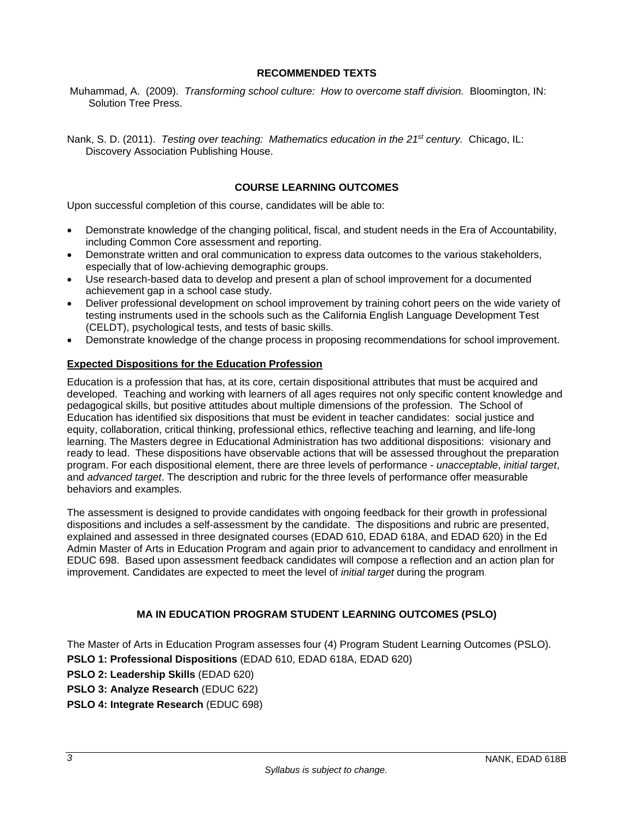### **RECOMMENDED TEXTS**

 Muhammad, A. (2009). *Transforming school culture: How to overcome staff division.* Bloomington, IN: Solution Tree Press.

Nank, S. D. (2011). *Testing over teaching: Mathematics education in the 21st century.* Chicago, IL: Discovery Association Publishing House.

## **COURSE LEARNING OUTCOMES**

Upon successful completion of this course, candidates will be able to:

- Demonstrate knowledge of the changing political, fiscal, and student needs in the Era of Accountability, including Common Core assessment and reporting.
- Demonstrate written and oral communication to express data outcomes to the various stakeholders, especially that of low-achieving demographic groups.
- Use research-based data to develop and present a plan of school improvement for a documented achievement gap in a school case study.
- Deliver professional development on school improvement by training cohort peers on the wide variety of testing instruments used in the schools such as the California English Language Development Test (CELDT), psychological tests, and tests of basic skills.
- Demonstrate knowledge of the change process in proposing recommendations for school improvement.

### **Expected Dispositions for the Education Profession**

Education is a profession that has, at its core, certain dispositional attributes that must be acquired and developed. Teaching and working with learners of all ages requires not only specific content knowledge and pedagogical skills, but positive attitudes about multiple dimensions of the profession. The School of Education has identified six dispositions that must be evident in teacher candidates: social justice and equity, collaboration, critical thinking, professional ethics, reflective teaching and learning, and life-long learning. The Masters degree in Educational Administration has two additional dispositions: visionary and ready to lead. These dispositions have observable actions that will be assessed throughout the preparation program. For each dispositional element, there are three levels of performance - *unacceptable*, *initial target*, and *advanced target*. The description and rubric for the three levels of performance offer measurable behaviors and examples.

The assessment is designed to provide candidates with ongoing feedback for their growth in professional dispositions and includes a self-assessment by the candidate. The dispositions and rubric are presented, explained and assessed in three designated courses (EDAD 610, EDAD 618A, and EDAD 620) in the Ed Admin Master of Arts in Education Program and again prior to advancement to candidacy and enrollment in EDUC 698. Based upon assessment feedback candidates will compose a reflection and an action plan for improvement. Candidates are expected to meet the level of *initial target* during the program.

## **MA IN EDUCATION PROGRAM STUDENT LEARNING OUTCOMES (PSLO)**

The Master of Arts in Education Program assesses four (4) Program Student Learning Outcomes (PSLO). **PSLO 1: Professional Dispositions** (EDAD 610, EDAD 618A, EDAD 620) **PSLO 2: Leadership Skills** (EDAD 620) **PSLO 3: Analyze Research** (EDUC 622) **PSLO 4: Integrate Research** (EDUC 698)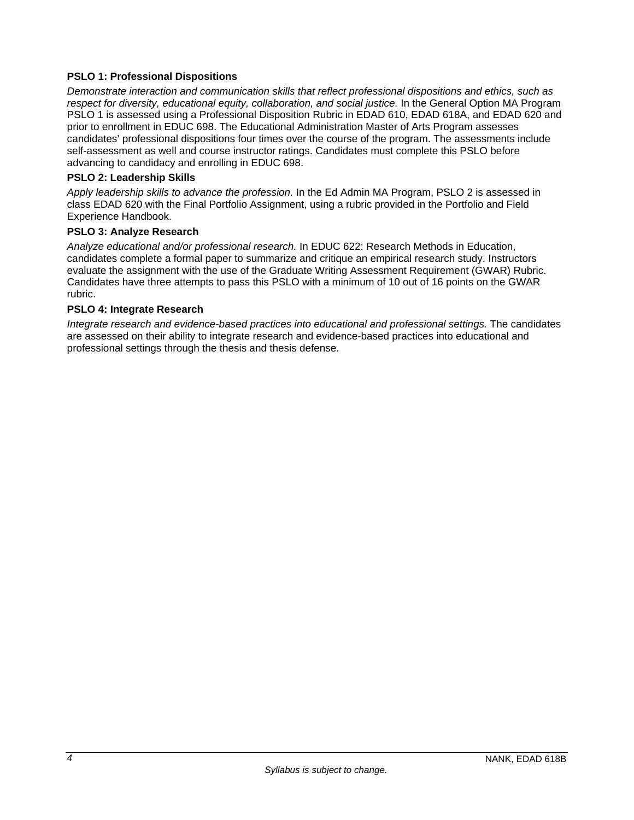## **PSLO 1: Professional Dispositions**

*Demonstrate interaction and communication skills that reflect professional dispositions and ethics, such as respect for diversity, educational equity, collaboration, and social justice.* In the General Option MA Program PSLO 1 is assessed using a Professional Disposition Rubric in EDAD 610, EDAD 618A, and EDAD 620 and prior to enrollment in EDUC 698. The Educational Administration Master of Arts Program assesses candidates' professional dispositions four times over the course of the program. The assessments include self-assessment as well and course instructor ratings. Candidates must complete this PSLO before advancing to candidacy and enrolling in EDUC 698.

## **PSLO 2: Leadership Skills**

*Apply leadership skills to advance the profession.* In the Ed Admin MA Program, PSLO 2 is assessed in class EDAD 620 with the Final Portfolio Assignment, using a rubric provided in the Portfolio and Field Experience Handbook.

### **PSLO 3: Analyze Research**

*Analyze educational and/or professional research.* In EDUC 622: Research Methods in Education, candidates complete a formal paper to summarize and critique an empirical research study. Instructors evaluate the assignment with the use of the Graduate Writing Assessment Requirement (GWAR) Rubric. Candidates have three attempts to pass this PSLO with a minimum of 10 out of 16 points on the GWAR rubric.

### **PSLO 4: Integrate Research**

*Integrate research and evidence-based practices into educational and professional settings.* The candidates are assessed on their ability to integrate research and evidence-based practices into educational and professional settings through the thesis and thesis defense.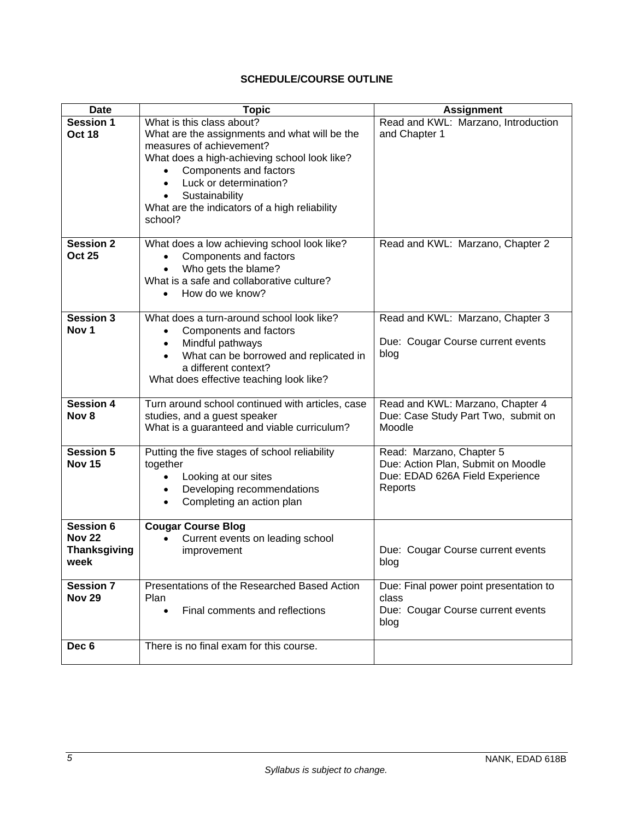# **SCHEDULE/COURSE OUTLINE**

| <b>Date</b>                                                      | <b>Topic</b>                                                                                                                                                                                                                                                                                          | <b>Assignment</b>                                                                                            |
|------------------------------------------------------------------|-------------------------------------------------------------------------------------------------------------------------------------------------------------------------------------------------------------------------------------------------------------------------------------------------------|--------------------------------------------------------------------------------------------------------------|
| <b>Session 1</b><br><b>Oct 18</b>                                | What is this class about?<br>What are the assignments and what will be the<br>measures of achievement?<br>What does a high-achieving school look like?<br>Components and factors<br>Luck or determination?<br>$\bullet$<br>Sustainability<br>What are the indicators of a high reliability<br>school? | Read and KWL: Marzano, Introduction<br>and Chapter 1                                                         |
| <b>Session 2</b><br><b>Oct 25</b>                                | What does a low achieving school look like?<br>Components and factors<br>Who gets the blame?<br>What is a safe and collaborative culture?<br>How do we know?                                                                                                                                          | Read and KWL: Marzano, Chapter 2                                                                             |
| <b>Session 3</b><br>Nov <sub>1</sub>                             | What does a turn-around school look like?<br>Components and factors<br>Mindful pathways<br>$\bullet$<br>What can be borrowed and replicated in<br>a different context?<br>What does effective teaching look like?                                                                                     | Read and KWL: Marzano, Chapter 3<br>Due: Cougar Course current events<br>blog                                |
| <b>Session 4</b><br>Nov <sub>8</sub>                             | Turn around school continued with articles, case<br>studies, and a guest speaker<br>What is a guaranteed and viable curriculum?                                                                                                                                                                       | Read and KWL: Marzano, Chapter 4<br>Due: Case Study Part Two, submit on<br>Moodle                            |
| <b>Session 5</b><br><b>Nov 15</b>                                | Putting the five stages of school reliability<br>together<br>Looking at our sites<br>$\bullet$<br>Developing recommendations<br>$\bullet$<br>Completing an action plan<br>$\bullet$                                                                                                                   | Read: Marzano, Chapter 5<br>Due: Action Plan, Submit on Moodle<br>Due: EDAD 626A Field Experience<br>Reports |
| <b>Session 6</b><br><b>Nov 22</b><br><b>Thanksgiving</b><br>week | <b>Cougar Course Blog</b><br>Current events on leading school<br>improvement                                                                                                                                                                                                                          | Due: Cougar Course current events<br>blog                                                                    |
| Session 7<br><b>Nov 29</b>                                       | Presentations of the Researched Based Action<br>Plan<br>Final comments and reflections<br>$\bullet$                                                                                                                                                                                                   | Due: Final power point presentation to<br>class<br>Due: Cougar Course current events<br>blog                 |
| Dec <sub>6</sub>                                                 | There is no final exam for this course.                                                                                                                                                                                                                                                               |                                                                                                              |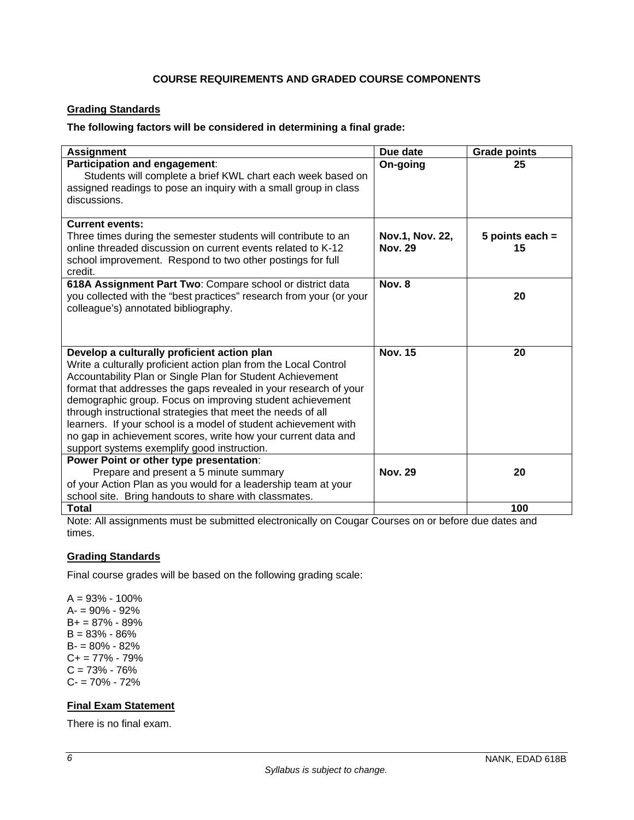## **COURSE REQUIREMENTS AND GRADED COURSE COMPONENTS**

## **Grading Standards**

## **The following factors will be considered in determining a final grade:**

| <b>Assignment</b>                                                                                                                                                                                                                                                                                                                                                                                                                                                                                                                                                | Due date                          | <b>Grade points</b>     |
|------------------------------------------------------------------------------------------------------------------------------------------------------------------------------------------------------------------------------------------------------------------------------------------------------------------------------------------------------------------------------------------------------------------------------------------------------------------------------------------------------------------------------------------------------------------|-----------------------------------|-------------------------|
| Participation and engagement:<br>Students will complete a brief KWL chart each week based on<br>assigned readings to pose an inquiry with a small group in class<br>discussions.                                                                                                                                                                                                                                                                                                                                                                                 | On-going                          | 25                      |
| <b>Current events:</b><br>Three times during the semester students will contribute to an<br>online threaded discussion on current events related to K-12<br>school improvement. Respond to two other postings for full<br>credit.                                                                                                                                                                                                                                                                                                                                | Nov.1, Nov. 22,<br><b>Nov. 29</b> | 5 points each $=$<br>15 |
| 618A Assignment Part Two: Compare school or district data<br>you collected with the "best practices" research from your (or your<br>colleague's) annotated bibliography.                                                                                                                                                                                                                                                                                                                                                                                         | Nov. 8                            | 20                      |
| Develop a culturally proficient action plan<br>Write a culturally proficient action plan from the Local Control<br>Accountability Plan or Single Plan for Student Achievement<br>format that addresses the gaps revealed in your research of your<br>demographic group. Focus on improving student achievement<br>through instructional strategies that meet the needs of all<br>learners. If your school is a model of student achievement with<br>no gap in achievement scores, write how your current data and<br>support systems exemplify good instruction. | <b>Nov. 15</b>                    | 20                      |
| Power Point or other type presentation:<br>Prepare and present a 5 minute summary<br>of your Action Plan as you would for a leadership team at your<br>school site. Bring handouts to share with classmates.                                                                                                                                                                                                                                                                                                                                                     | <b>Nov. 29</b>                    | 20                      |
| <b>Total</b>                                                                                                                                                                                                                                                                                                                                                                                                                                                                                                                                                     |                                   | 100                     |

Note: All assignments must be submitted electronically on Cougar Courses on or before due dates and times.

## **Grading Standards**

Final course grades will be based on the following grading scale:

 $A = 93% - 100%$ A- = 90% - 92% B+ = 87% - 89%  $B = 83% - 86%$ B- = 80% - 82%  $C+= 77\% - 79\%$  $C = 73% - 76%$ C- = 70% - 72%

## **Final Exam Statement**

There is no final exam.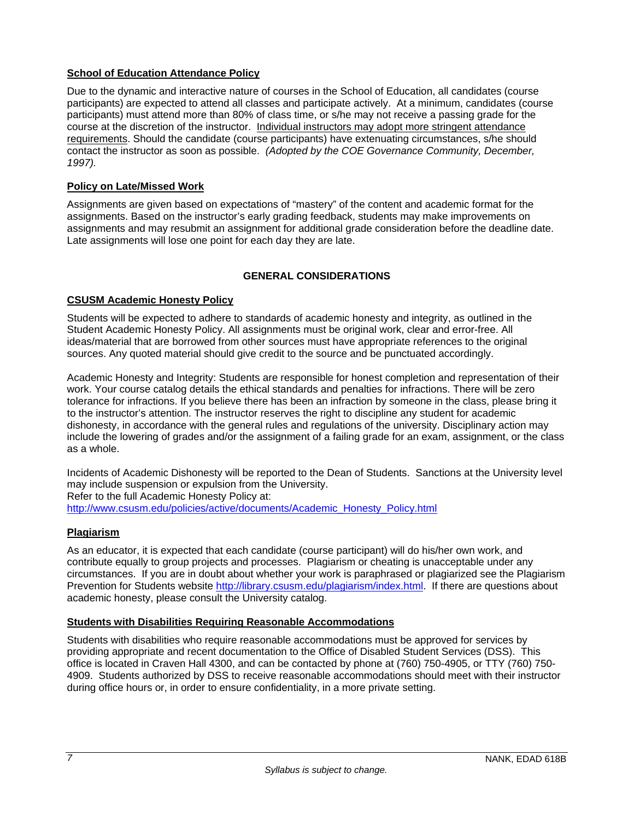## **School of Education Attendance Policy**

Due to the dynamic and interactive nature of courses in the School of Education, all candidates (course participants) are expected to attend all classes and participate actively. At a minimum, candidates (course participants) must attend more than 80% of class time, or s/he may not receive a passing grade for the course at the discretion of the instructor. Individual instructors may adopt more stringent attendance requirements. Should the candidate (course participants) have extenuating circumstances, s/he should contact the instructor as soon as possible. *(Adopted by the COE Governance Community, December, 1997).*

## **Policy on Late/Missed Work**

Assignments are given based on expectations of "mastery" of the content and academic format for the assignments. Based on the instructor's early grading feedback, students may make improvements on assignments and may resubmit an assignment for additional grade consideration before the deadline date. Late assignments will lose one point for each day they are late.

## **GENERAL CONSIDERATIONS**

### **CSUSM Academic Honesty Policy**

Students will be expected to adhere to standards of academic honesty and integrity, as outlined in the Student Academic Honesty Policy. All assignments must be original work, clear and error-free. All ideas/material that are borrowed from other sources must have appropriate references to the original sources. Any quoted material should give credit to the source and be punctuated accordingly.

Academic Honesty and Integrity: Students are responsible for honest completion and representation of their work. Your course catalog details the ethical standards and penalties for infractions. There will be zero tolerance for infractions. If you believe there has been an infraction by someone in the class, please bring it to the instructor's attention. The instructor reserves the right to discipline any student for academic dishonesty, in accordance with the general rules and regulations of the university. Disciplinary action may include the lowering of grades and/or the assignment of a failing grade for an exam, assignment, or the class as a whole.

Incidents of Academic Dishonesty will be reported to the Dean of Students. Sanctions at the University level may include suspension or expulsion from the University. Refer to the full Academic Honesty Policy at: http://www.csusm.edu/policies/active/documents/Academic\_Honesty\_Policy.html

## **Plagiarism**

As an educator, it is expected that each candidate (course participant) will do his/her own work, and contribute equally to group projects and processes. Plagiarism or cheating is unacceptable under any circumstances. If you are in doubt about whether your work is paraphrased or plagiarized see the Plagiarism Prevention for Students website http://library.csusm.edu/plagiarism/index.html. If there are questions about academic honesty, please consult the University catalog.

### **Students with Disabilities Requiring Reasonable Accommodations**

Students with disabilities who require reasonable accommodations must be approved for services by providing appropriate and recent documentation to the Office of Disabled Student Services (DSS). This office is located in Craven Hall 4300, and can be contacted by phone at (760) 750-4905, or TTY (760) 750- 4909. Students authorized by DSS to receive reasonable accommodations should meet with their instructor during office hours or, in order to ensure confidentiality, in a more private setting.